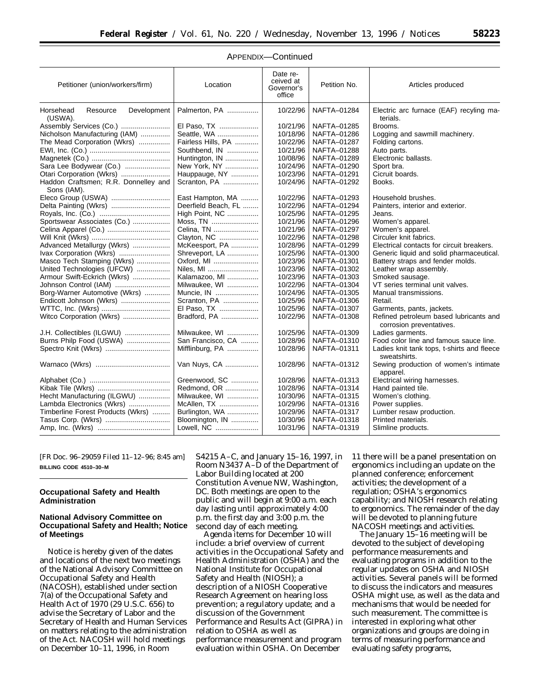| Petitioner (union/workers/firm)                 | Location            | Date re-<br>ceived at<br>Governor's<br>office | Petition No. | Articles produced                                                  |
|-------------------------------------------------|---------------------|-----------------------------------------------|--------------|--------------------------------------------------------------------|
| Horsehead<br>Resource<br>Development<br>(USWA). | Palmerton, PA       | 10/22/96                                      | NAFTA-01284  | Electric arc furnace (EAF) recyling ma-<br>terials.                |
| Assembly Services (Co.)                         | El Paso, TX         | 10/21/96                                      | NAFTA-01285  | Brooms.                                                            |
| Nicholson Manufacturing (IAM)                   | Seattle, WA         | 10/18/96                                      | NAFTA-01286  | Logging and sawmill machinery.                                     |
| The Mead Corporation (Wkrs)                     | Fairless Hills, PA  | 10/22/96                                      | NAFTA-01287  | Folding cartons.                                                   |
|                                                 | Southbend, IN       | 10/21/96                                      | NAFTA-01288  | Auto parts.                                                        |
|                                                 | Huntington, IN      | 10/08/96                                      | NAFTA-01289  | Electronic ballasts.                                               |
| Sara Lee Bodywear (Co.)                         | New York, NY        | 10/24/96                                      | NAFTA-01290  | Sport bra.                                                         |
| Otari Corporation (Wkrs)                        | Hauppauge, NY       | 10/23/96                                      | NAFTA-01291  | Cicruit boards.                                                    |
| Haddon Craftsmen; R.R. Donnelley and            | Scranton, PA        | 10/24/96                                      | NAFTA-01292  | Books.                                                             |
| Sons (IAM).                                     |                     |                                               |              |                                                                    |
| Eleco Group (USWA)                              | East Hampton, MA    | 10/22/96                                      | NAFTA-01293  | Household brushes.                                                 |
|                                                 | Deerfield Beach, FL | 10/22/96                                      | NAFTA-01294  | Painters, interior and exterior.                                   |
|                                                 | High Point, NC      | 10/25/96                                      | NAFTA-01295  | Jeans.                                                             |
| Sportswear Associates (Co.)                     | Moss, TN            | 10/21/96                                      | NAFTA-01296  | Women's apparel.                                                   |
|                                                 | Celina, TN          | 10/21/96                                      | NAFTA-01297  | Women's apparel.                                                   |
|                                                 | Clayton, NC         | 10/22/96                                      | NAFTA-01298  | Circuler knit fabrics.                                             |
| Advanced Metallurgy (Wkrs)                      | McKeesport, PA      | 10/28/96                                      | NAFTA-01299  | Electrical contacts for circuit breakers.                          |
| Ivax Corporation (Wkrs)                         | Shreveport, LA      | 10/25/96                                      | NAFTA-01300  | Generic liquid and solid pharmaceutical.                           |
| Masco Tech Stamping (Wkrs)                      | Oxford, MI          | 10/23/96                                      | NAFTA-01301  | Battery straps and fender molds.                                   |
| United Technologies (UFCW)                      | Niles, MI           | 10/23/96                                      | NAFTA-01302  | Leather wrap assembly.                                             |
| Armour Swift-Eckrich (Wkrs)                     | Kalamazoo, MI       | 10/23/96                                      | NAFTA-01303  | Smoked sausage.                                                    |
| Johnson Control (IAM)                           | Milwaukee, WI       | 10/22/96                                      | NAFTA-01304  | VT series terminal unit valves.                                    |
| Borg-Warner Automotive (Wkrs)                   | Muncie, IN          | 10/24/96                                      | NAFTA-01305  | Manual transmissions.                                              |
| Endicott Johnson (Wkrs)                         | Scranton, PA        | 10/25/96                                      | NAFTA-01306  | Retail.                                                            |
|                                                 | El Paso, TX         | 10/25/96                                      | NAFTA-01307  | Garments, pants, jackets.                                          |
| Witco Corporation (Wkrs)                        | Bradford, PA        | 10/22/96                                      | NAFTA-01308  | Refined petroleum based lubricants and<br>corrosion preventatives. |
| J.H. Collectibles (ILGWU)                       | Milwaukee, WI       | 10/25/96                                      | NAFTA-01309  | Ladies garments.                                                   |
| Burns Philp Food (USWA)                         | San Francisco, CA   | 10/28/96                                      | NAFTA-01310  | Food color line and famous sauce line.                             |
|                                                 | Mifflinburg, PA     | 10/28/96                                      | NAFTA-01311  | Ladies knit tank tops, t-shirts and fleece                         |
|                                                 |                     |                                               |              | sweatshirts.                                                       |
|                                                 | Van Nuys, CA        | 10/28/96                                      | NAFTA-01312  | Sewing production of women's intimate<br>apparel.                  |
|                                                 | Greenwood, SC       | 10/28/96                                      | NAFTA-01313  | Electrical wiring harnesses.                                       |
|                                                 | Redmond, OR         | 10/28/96                                      | NAFTA-01314  | Hand painted tile.                                                 |
| Hecht Manufacturing (ILGWU)                     | Milwaukee, WI       | 10/30/96                                      | NAFTA-01315  | Women's clothing.                                                  |
| Lambda Electronics (Wkrs)                       | McAllen, TX         | 10/29/96                                      | NAFTA-01316  | Power supplies.                                                    |
| Timberline Forest Products (Wkrs)               | Burlington, WA      | 10/29/96                                      | NAFTA-01317  | Lumber resaw production.                                           |
| Tasus Corp. (Wkrs)                              | Bloomington, IN     | 10/30/96                                      | NAFTA-01318  | Printed materials.                                                 |
|                                                 | Lowell, NC          | 10/31/96                                      | NAFTA-01319  | Slimline products.                                                 |

## APPENDIX—Continued

[FR Doc. 96–29059 Filed 11–12–96; 8:45 am] **BILLING CODE 4510–30–M**

## **Occupational Safety and Health Administration**

# **National Advisory Committee on Occupational Safety and Health; Notice of Meetings**

Notice is hereby given of the dates and locations of the next two meetings of the National Advisory Committee on Occupational Safety and Health (NACOSH), established under section 7(a) of the Occupational Safety and Health Act of 1970 (29 U.S.C. 656) to advise the Secretary of Labor and the Secretary of Health and Human Services on matters relating to the administration of the Act. NACOSH will hold meetings on December 10–11, 1996, in Room

S4215 A–C, and January 15–16, 1997, in Room N3437 A–D of the Department of Labor Building located at 200 Constitution Avenue NW, Washington, DC. Both meetings are open to the public and will begin at 9:00 a.m. each day lasting until approximately 4:00 p.m. the first day and 3:00 p.m. the second day of each meeting.

Agenda items for December 10 will include: a brief overview of current activities in the Occupational Safety and Health Administration (OSHA) and the National Institute for Occupational Safety and Health (NIOSH); a description of a NIOSH Cooperative Research Agreement on hearing loss prevention; a regulatory update; and a discussion of the Government Performance and Results Act (GIPRA) in relation to OSHA as well as performance measurement and program evaluation within OSHA. On December

11 there will be a panel presentation on ergonomics including an update on the planned conference; enforcement activities; the development of a regulation; OSHA's ergonomics capability; and NIOSH research relating to ergonomics. The remainder of the day will be devoted to planning future NACOSH meetings and activities.

The January 15–16 meeting will be devoted to the subject of developing performance measurements and evaluating programs in addition to the regular updates on OSHA and NIOSH activities. Several panels will be formed to discuss the indicators and measures OSHA might use, as well as the data and mechanisms that would be needed for such measurement. The committee is interested in exploring what other organizations and groups are doing in terms of measuring performance and evaluating safety programs,